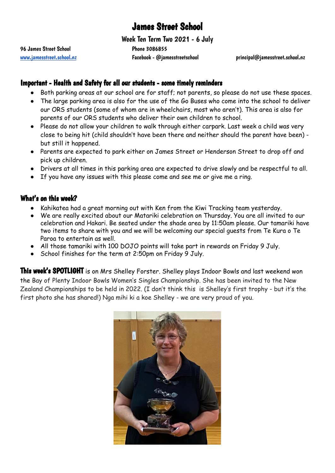# James Street School

Week Ten Term Two 2021 - 6 July

96 James Street School 20086855

[www.jamesstreet.school.nz](http://www.jamesstreet.school.nz) Facebook - @jamesstreetschool principal@jamesstreet.school.nz

## Important - Health and Safety for all our students - some timely reminders

- Both parking areas at our school are for staff; not parents, so please do not use these spaces.
- The large parking area is also for the use of the Go Buses who come into the school to deliver our ORS students (some of whom are in wheelchairs, most who aren't). This area is also for parents of our ORS students who deliver their own children to school.
- Please do not allow your children to walk through either carpark. Last week a child was very close to being hit (child shouldn't have been there and neither should the parent have been) but still it happened.
- Parents are expected to park either on James Street or Henderson Street to drop off and pick up children.
- Drivers at all times in this parking area are expected to drive slowly and be respectful to all.
- If you have any issues with this please come and see me or give me a ring.

#### What's on this week?

- Kahikatea had a great morning out with Ken from the Kiwi Tracking team yesterday.
- We are really excited about our Matariki celebration on Thursday. You are all invited to our celebration and Hakari. Be seated under the shade area by 11:50am please. Our tamariki have two items to share with you and we will be welcoming our special guests from Te Kura o Te Paroa to entertain as well.
- All those tamariki with 100 DOJO points will take part in rewards on Friday 9 July.
- School finishes for the term at 2:50pm on Friday 9 July.

This week's SPOTLIGHT is on Mrs Shelley Forster. Shelley plays Indoor Bowls and last weekend won the Bay of Plenty Indoor Bowls Women's Singles Championship. She has been invited to the New Zealand Championships to be held in 2022. (I don't think this is Shelley's first trophy - but it's the first photo she has shared!) Nga mihi ki a koe Shelley - we are very proud of you.